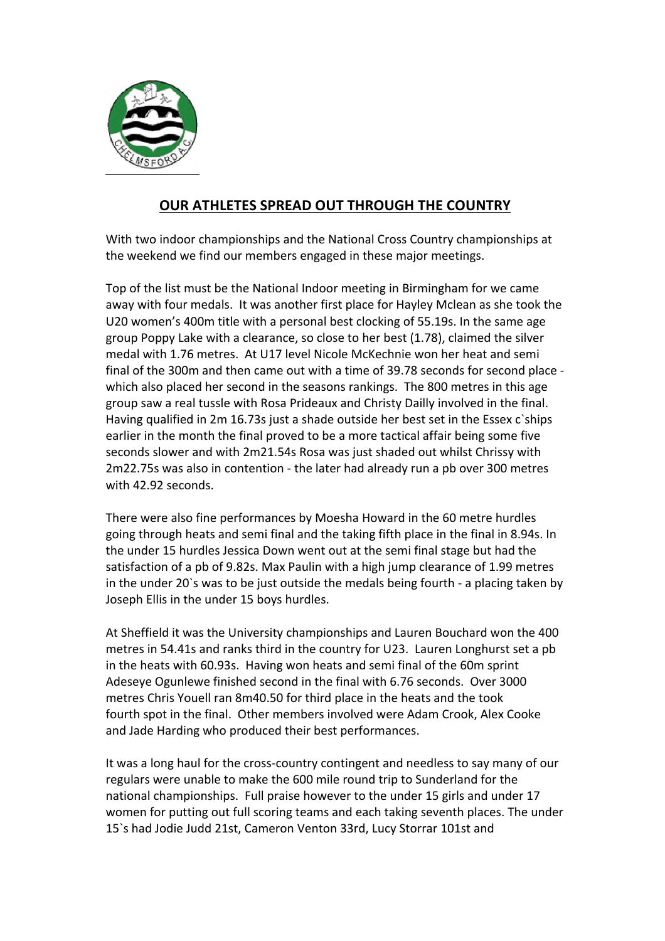

## **OUR ATHLETES SPREAD OUT THROUGH THE COUNTRY**

With two indoor championships and the National Cross Country championships at the weekend we find our members engaged in these major meetings.

Top of the list must be the National Indoor meeting in Birmingham for we came away with four medals. It was another first place for Hayley Mclean as she took the U20 women's 400m title with a personal best clocking of 55.19s. In the same age group Poppy Lake with a clearance, so close to her best (1.78), claimed the silver medal with 1.76 metres. At U17 level Nicole McKechnie won her heat and semi final of the 300m and then came out with a time of 39.78 seconds for second place which also placed her second in the seasons rankings. The 800 metres in this age group saw a real tussle with Rosa Prideaux and Christy Dailly involved in the final. Having qualified in  $2m 16.73s$  just a shade outside her best set in the Essex c ships earlier in the month the final proved to be a more tactical affair being some five seconds slower and with 2m21.54s Rosa was just shaded out whilst Chrissy with 2m22.75s was also in contention - the later had already run a pb over 300 metres with 42.92 seconds.

There were also fine performances by Moesha Howard in the 60 metre hurdles going through heats and semi final and the taking fifth place in the final in 8.94s. In the under 15 hurdles Jessica Down went out at the semi final stage but had the satisfaction of a pb of 9.82s. Max Paulin with a high jump clearance of 1.99 metres in the under 20`s was to be just outside the medals being fourth - a placing taken by Joseph Ellis in the under 15 boys hurdles.

At Sheffield it was the University championships and Lauren Bouchard won the 400 metres in 54.41s and ranks third in the country for U23. Lauren Longhurst set a pb in the heats with 60.93s. Having won heats and semi final of the 60m sprint Adeseye Ogunlewe finished second in the final with 6.76 seconds. Over 3000 metres Chris Youell ran 8m40.50 for third place in the heats and the took fourth spot in the final. Other members involved were Adam Crook, Alex Cooke and Jade Harding who produced their best performances.

It was a long haul for the cross-country contingent and needless to say many of our regulars were unable to make the 600 mile round trip to Sunderland for the national championships. Full praise however to the under 15 girls and under 17 women for putting out full scoring teams and each taking seventh places. The under 15`s had Jodie Judd 21st, Cameron Venton 33rd, Lucy Storrar 101st and